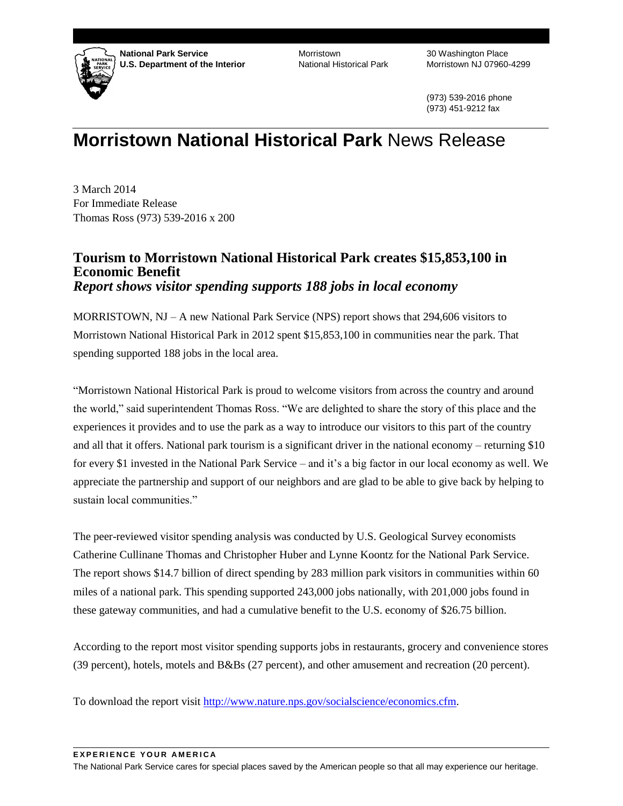

**National Park Service U.S. Department of the Interior**

**Morristown** National Historical Park

30 Washington Place Morristown NJ 07960-4299

(973) 539-2016 phone (973) 451-9212 fax

## **Morristown National Historical Park** News Release

3 March 2014 For Immediate Release Thomas Ross (973) 539-2016 x 200

## **Tourism to Morristown National Historical Park creates \$15,853,100 in Economic Benefit** *Report shows visitor spending supports 188 jobs in local economy*

MORRISTOWN, NJ – A new National Park Service (NPS) report shows that 294,606 visitors to Morristown National Historical Park in 2012 spent \$15,853,100 in communities near the park. That spending supported 188 jobs in the local area.

"Morristown National Historical Park is proud to welcome visitors from across the country and around the world," said superintendent Thomas Ross. "We are delighted to share the story of this place and the experiences it provides and to use the park as a way to introduce our visitors to this part of the country and all that it offers. National park tourism is a significant driver in the national economy – returning \$10 for every \$1 invested in the National Park Service – and it's a big factor in our local economy as well. We appreciate the partnership and support of our neighbors and are glad to be able to give back by helping to sustain local communities."

The peer-reviewed visitor spending analysis was conducted by U.S. Geological Survey economists Catherine Cullinane Thomas and Christopher Huber and Lynne Koontz for the National Park Service. The report shows \$14.7 billion of direct spending by 283 million park visitors in communities within 60 miles of a national park. This spending supported 243,000 jobs nationally, with 201,000 jobs found in these gateway communities, and had a cumulative benefit to the U.S. economy of \$26.75 billion.

According to the report most visitor spending supports jobs in restaurants, grocery and convenience stores (39 percent), hotels, motels and B&Bs (27 percent), and other amusement and recreation (20 percent).

To download the report visit [http://www.nature.nps.gov/socialscience/economics.cfm.](http://www.nature.nps.gov/socialscience/economics.cfm)